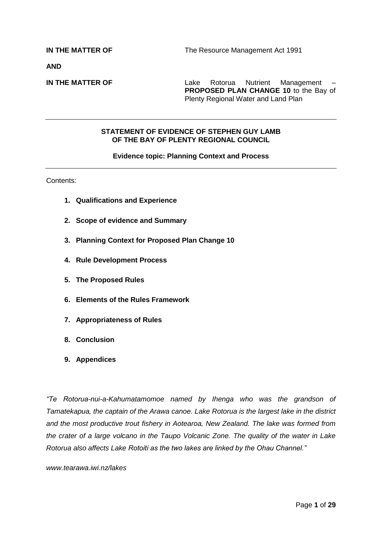**AND**

**IN THE MATTER OF THE Lake Rotorua Nutrient Management PROPOSED PLAN CHANGE 10** to the Bay of Plenty Regional Water and Land Plan

#### **STATEMENT OF EVIDENCE OF STEPHEN GUY LAMB OF THE BAY OF PLENTY REGIONAL COUNCIL**

#### **Evidence topic: Planning Context and Process**

Contents:

- **1. Qualifications and Experience**
- **2. Scope of evidence and Summary**
- **3. Planning Context for Proposed Plan Change 10**
- **4. Rule Development Process**
- **5. The Proposed Rules**
- **6. Elements of the Rules Framework**
- **7. Appropriateness of Rules**
- **8. Conclusion**
- **9. Appendices**

*"Te Rotorua-nui-a-Kahumatamomoe named by Ihenga who was the grandson of Tamatekapua, the captain of the Arawa canoe. Lake Rotorua is the largest lake in the district and the most productive trout fishery in Aotearoa, New Zealand. The lake was formed from the crater of a large volcano in the Taupo Volcanic Zone. The quality of the water in Lake Rotorua also affects Lake Rotoiti as the two lakes are linked by the Ohau Channel."*

*www.tearawa.iwi.nz/lakes*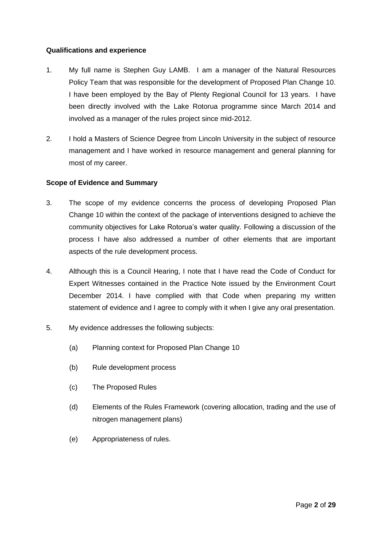#### **Qualifications and experience**

- 1. My full name is Stephen Guy LAMB. I am a manager of the Natural Resources Policy Team that was responsible for the development of Proposed Plan Change 10. I have been employed by the Bay of Plenty Regional Council for 13 years. I have been directly involved with the Lake Rotorua programme since March 2014 and involved as a manager of the rules project since mid-2012.
- 2. I hold a Masters of Science Degree from Lincoln University in the subject of resource management and I have worked in resource management and general planning for most of my career.

#### **Scope of Evidence and Summary**

- 3. The scope of my evidence concerns the process of developing Proposed Plan Change 10 within the context of the package of interventions designed to achieve the community objectives for Lake Rotorua's water quality. Following a discussion of the process I have also addressed a number of other elements that are important aspects of the rule development process.
- 4. Although this is a Council Hearing, I note that I have read the Code of Conduct for Expert Witnesses contained in the Practice Note issued by the Environment Court December 2014. I have complied with that Code when preparing my written statement of evidence and I agree to comply with it when I give any oral presentation.
- 5. My evidence addresses the following subjects:
	- (a) Planning context for Proposed Plan Change 10
	- (b) Rule development process
	- (c) The Proposed Rules
	- (d) Elements of the Rules Framework (covering allocation, trading and the use of nitrogen management plans)
	- (e) Appropriateness of rules.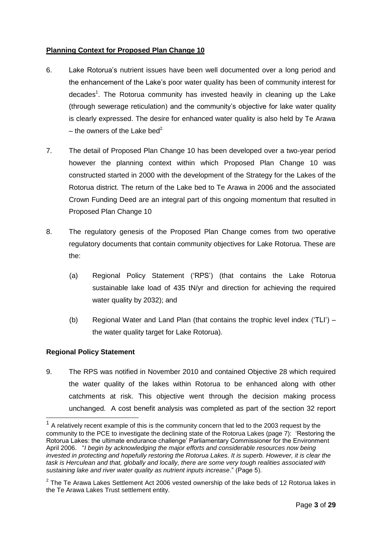#### **Planning Context for Proposed Plan Change 10**

- 6. Lake Rotorua's nutrient issues have been well documented over a long period and the enhancement of the Lake's poor water quality has been of community interest for decades<sup>1</sup>. The Rotorua community has invested heavily in cleaning up the Lake (through sewerage reticulation) and the community's objective for lake water quality is clearly expressed. The desire for enhanced water quality is also held by Te Arawa – the owners of the Lake bed<sup>2.</sup>
- 7. The detail of Proposed Plan Change 10 has been developed over a two-year period however the planning context within which Proposed Plan Change 10 was constructed started in 2000 with the development of the Strategy for the Lakes of the Rotorua district. The return of the Lake bed to Te Arawa in 2006 and the associated Crown Funding Deed are an integral part of this ongoing momentum that resulted in Proposed Plan Change 10
- 8. The regulatory genesis of the Proposed Plan Change comes from two operative regulatory documents that contain community objectives for Lake Rotorua. These are the:
	- (a) Regional Policy Statement ('RPS') (that contains the Lake Rotorua sustainable lake load of 435 tN/yr and direction for achieving the required water quality by 2032); and
	- (b) Regional Water and Land Plan (that contains the trophic level index ('TLI') the water quality target for Lake Rotorua).

#### **Regional Policy Statement**

9. The RPS was notified in November 2010 and contained Objective 28 which required the water quality of the lakes within Rotorua to be enhanced along with other catchments at risk. This objective went through the decision making process unchanged. A cost benefit analysis was completed as part of the section 32 report -

 $1$  A relatively recent example of this is the community concern that led to the 2003 request by the community to the PCE to investigate the declining state of the Rotorua Lakes (page 7): 'Restoring the Rotorua Lakes: the ultimate endurance challenge' Parliamentary Commissioner for the Environment April 2006. "*I begin by acknowledging the major efforts and considerable resources now being invested in protecting and hopefully restoring the Rotorua Lakes. It is superb. However, it is clear the task is Herculean and that, globally and locally, there are some very tough realities associated with sustaining lake and river water quality as nutrient inputs increase*." (Page 5).

 $2$  The Te Arawa Lakes Settlement Act 2006 vested ownership of the lake beds of 12 Rotorua lakes in the Te Arawa Lakes Trust settlement entity.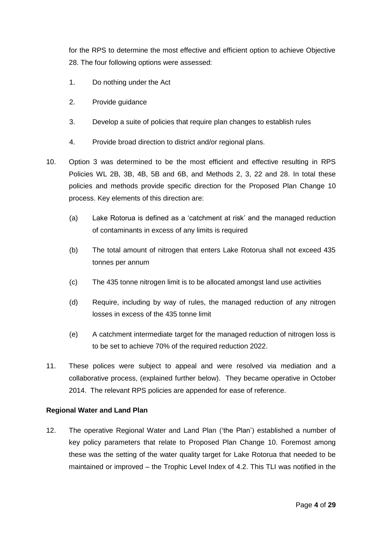for the RPS to determine the most effective and efficient option to achieve Objective 28. The four following options were assessed:

- 1. Do nothing under the Act
- 2. Provide guidance
- 3. Develop a suite of policies that require plan changes to establish rules
- 4. Provide broad direction to district and/or regional plans.
- 10. Option 3 was determined to be the most efficient and effective resulting in RPS Policies WL 2B, 3B, 4B, 5B and 6B, and Methods 2, 3, 22 and 28. In total these policies and methods provide specific direction for the Proposed Plan Change 10 process. Key elements of this direction are:
	- (a) Lake Rotorua is defined as a 'catchment at risk' and the managed reduction of contaminants in excess of any limits is required
	- (b) The total amount of nitrogen that enters Lake Rotorua shall not exceed 435 tonnes per annum
	- (c) The 435 tonne nitrogen limit is to be allocated amongst land use activities
	- (d) Require, including by way of rules, the managed reduction of any nitrogen losses in excess of the 435 tonne limit
	- (e) A catchment intermediate target for the managed reduction of nitrogen loss is to be set to achieve 70% of the required reduction 2022.
- 11. These polices were subject to appeal and were resolved via mediation and a collaborative process, (explained further below). They became operative in October 2014. The relevant RPS policies are appended for ease of reference.

#### **Regional Water and Land Plan**

12. The operative Regional Water and Land Plan ('the Plan') established a number of key policy parameters that relate to Proposed Plan Change 10. Foremost among these was the setting of the water quality target for Lake Rotorua that needed to be maintained or improved – the Trophic Level Index of 4.2. This TLI was notified in the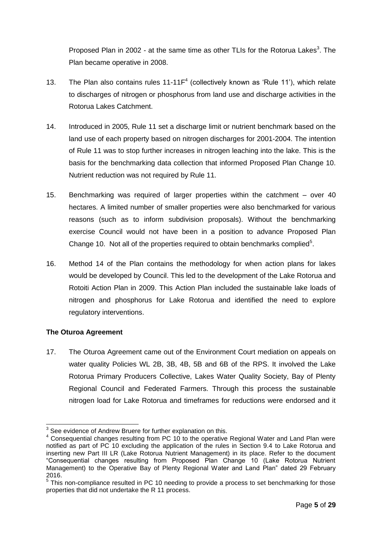Proposed Plan in 2002 - at the same time as other TLIs for the Rotorua Lakes<sup>3</sup>. The Plan became operative in 2008.

- 13. The Plan also contains rules  $11-11F<sup>4</sup>$  (collectively known as 'Rule 11'), which relate to discharges of nitrogen or phosphorus from land use and discharge activities in the Rotorua Lakes Catchment.
- 14. Introduced in 2005, Rule 11 set a discharge limit or nutrient benchmark based on the land use of each property based on nitrogen discharges for 2001-2004. The intention of Rule 11 was to stop further increases in nitrogen leaching into the lake. This is the basis for the benchmarking data collection that informed Proposed Plan Change 10. Nutrient reduction was not required by Rule 11.
- 15. Benchmarking was required of larger properties within the catchment over 40 hectares. A limited number of smaller properties were also benchmarked for various reasons (such as to inform subdivision proposals). Without the benchmarking exercise Council would not have been in a position to advance Proposed Plan Change 10. Not all of the properties required to obtain benchmarks complied<sup>5</sup>.
- 16. Method 14 of the Plan contains the methodology for when action plans for lakes would be developed by Council. This led to the development of the Lake Rotorua and Rotoiti Action Plan in 2009. This Action Plan included the sustainable lake loads of nitrogen and phosphorus for Lake Rotorua and identified the need to explore regulatory interventions.

#### **The Oturoa Agreement**

17. The Oturoa Agreement came out of the Environment Court mediation on appeals on water quality Policies WL 2B, 3B, 4B, 5B and 6B of the RPS. It involved the Lake Rotorua Primary Producers Collective, Lakes Water Quality Society, Bay of Plenty Regional Council and Federated Farmers. Through this process the sustainable nitrogen load for Lake Rotorua and timeframes for reductions were endorsed and it

 $\overline{1}$  $3$  See evidence of Andrew Bruere for further explanation on this.

 $4$  Consequential changes resulting from PC 10 to the operative Regional Water and Land Plan were notified as part of PC 10 excluding the application of the rules in Section 9.4 to Lake Rotorua and inserting new Part III LR (Lake Rotorua Nutrient Management) in its place. Refer to the document "Consequential changes resulting from Proposed Plan Change 10 (Lake Rotorua Nutrient Management) to the Operative Bay of Plenty Regional Water and Land Plan" dated 29 February 2016.

<sup>&</sup>lt;sup>5</sup> This non-compliance resulted in PC 10 needing to provide a process to set benchmarking for those properties that did not undertake the R 11 process.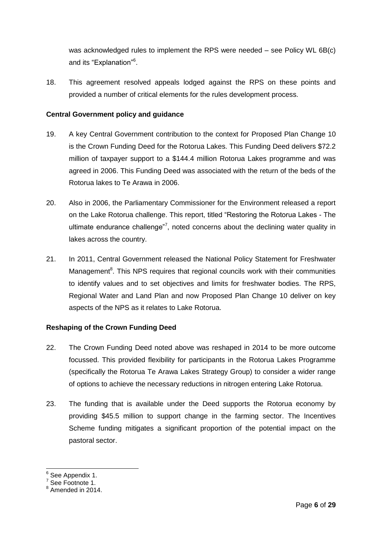was acknowledged rules to implement the RPS were needed – see Policy WL 6B(c) and its "Explanation"<sup>6</sup>.

18. This agreement resolved appeals lodged against the RPS on these points and provided a number of critical elements for the rules development process.

#### **Central Government policy and guidance**

- 19. A key Central Government contribution to the context for Proposed Plan Change 10 is the Crown Funding Deed for the Rotorua Lakes. This Funding Deed delivers \$72.2 million of taxpayer support to a \$144.4 million Rotorua Lakes programme and was agreed in 2006. This Funding Deed was associated with the return of the beds of the Rotorua lakes to Te Arawa in 2006.
- 20. Also in 2006, the Parliamentary Commissioner for the Environment released a report on the Lake Rotorua challenge. This report, titled "Restoring the Rotorua Lakes - The ultimate endurance challenge"<sup>7</sup>, noted concerns about the declining water quality in lakes across the country.
- 21. In 2011, Central Government released the National Policy Statement for Freshwater Management<sup>8</sup>. This NPS requires that regional councils work with their communities to identify values and to set objectives and limits for freshwater bodies. The RPS, Regional Water and Land Plan and now Proposed Plan Change 10 deliver on key aspects of the NPS as it relates to Lake Rotorua.

#### **Reshaping of the Crown Funding Deed**

- 22. The Crown Funding Deed noted above was reshaped in 2014 to be more outcome focussed. This provided flexibility for participants in the Rotorua Lakes Programme (specifically the Rotorua Te Arawa Lakes Strategy Group) to consider a wider range of options to achieve the necessary reductions in nitrogen entering Lake Rotorua.
- 23. The funding that is available under the Deed supports the Rotorua economy by providing \$45.5 million to support change in the farming sector. The Incentives Scheme funding mitigates a significant proportion of the potential impact on the pastoral sector.

<sup>&</sup>lt;u>。</u><br><sup>6</sup> See Appendix 1.

 $^7$  See Footnote 1.<br><sup>8</sup> Amended in 2014.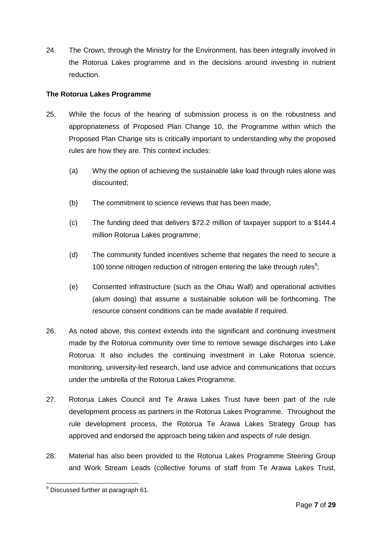24. The Crown, through the Ministry for the Environment, has been integrally involved in the Rotorua Lakes programme and in the decisions around investing in nutrient reduction.

#### **The Rotorua Lakes Programme**

- 25. While the focus of the hearing of submission process is on the robustness and appropriateness of Proposed Plan Change 10, the Programme within which the Proposed Plan Change sits is critically important to understanding why the proposed rules are how they are. This context includes:
	- (a) Why the option of achieving the sustainable lake load through rules alone was discounted;
	- (b) The commitment to science reviews that has been made;
	- (c) The funding deed that delivers \$72.2 million of taxpayer support to a \$144.4 million Rotorua Lakes programme;
	- (d) The community funded incentives scheme that negates the need to secure a 100 tonne nitrogen reduction of nitrogen entering the lake through rules<sup>9</sup>;
	- (e) Consented infrastructure (such as the Ohau Wall) and operational activities (alum dosing) that assume a sustainable solution will be forthcoming. The resource consent conditions can be made available if required.
- 26. As noted above, this context extends into the significant and continuing investment made by the Rotorua community over time to remove sewage discharges into Lake Rotorua. It also includes the continuing investment in Lake Rotorua science, monitoring, university-led research, land use advice and communications that occurs under the umbrella of the Rotorua Lakes Programme.
- 27. Rotorua Lakes Council and Te Arawa Lakes Trust have been part of the rule development process as partners in the Rotorua Lakes Programme. Throughout the rule development process, the Rotorua Te Arawa Lakes Strategy Group has approved and endorsed the approach being taken and aspects of rule design.
- 28. Material has also been provided to the Rotorua Lakes Programme Steering Group and Work Stream Leads (collective forums of staff from Te Arawa Lakes Trust,

<sup>-</sup> $^9$  Discussed further at paragraph 61.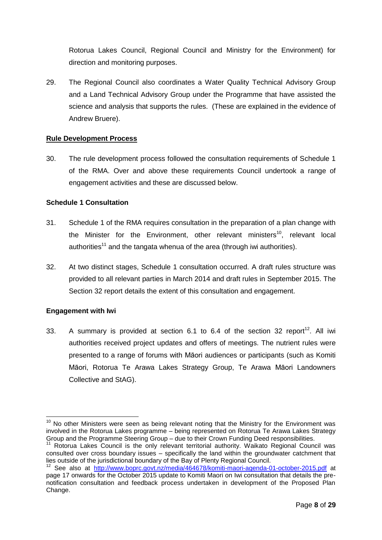Rotorua Lakes Council, Regional Council and Ministry for the Environment) for direction and monitoring purposes.

29. The Regional Council also coordinates a Water Quality Technical Advisory Group and a Land Technical Advisory Group under the Programme that have assisted the science and analysis that supports the rules. (These are explained in the evidence of Andrew Bruere).

#### **Rule Development Process**

30. The rule development process followed the consultation requirements of Schedule 1 of the RMA. Over and above these requirements Council undertook a range of engagement activities and these are discussed below.

#### **Schedule 1 Consultation**

- 31. Schedule 1 of the RMA requires consultation in the preparation of a plan change with the Minister for the Environment, other relevant ministers<sup>10</sup>. relevant local authorities<sup>11</sup> and the tangata whenua of the area (through iwi authorities).
- 32. At two distinct stages, Schedule 1 consultation occurred. A draft rules structure was provided to all relevant parties in March 2014 and draft rules in September 2015. The Section 32 report details the extent of this consultation and engagement.

#### **Engagement with Iwi**

-

33. A summary is provided at section 6.1 to 6.4 of the section 32 report<sup>12</sup>. All iwi authorities received project updates and offers of meetings. The nutrient rules were presented to a range of forums with Māori audiences or participants (such as Komiti Māori, Rotorua Te Arawa Lakes Strategy Group, Te Arawa Māori Landowners Collective and StAG).

 $10$  No other Ministers were seen as being relevant noting that the Ministry for the Environment was involved in the Rotorua Lakes programme – being represented on Rotorua Te Arawa Lakes Strategy Group and the Programme Steering Group – due to their Crown Funding Deed responsibilities.

Rotorua Lakes Council is the only relevant territorial authority. Waikato Regional Council was consulted over cross boundary issues – specifically the land within the groundwater catchment that lies outside of the jurisdictional boundary of the Bay of Plenty Regional Council.

<sup>12</sup> See also at <http://www.boprc.govt.nz/media/464678/komiti-maori-agenda-01-october-2015.pdf> at page 17 onwards for the October 2015 update to Komiti Maori on Iwi consultation that details the prenotification consultation and feedback process undertaken in development of the Proposed Plan Change.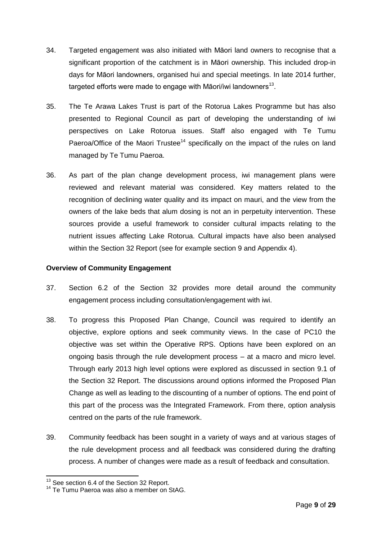- 34. Targeted engagement was also initiated with Māori land owners to recognise that a significant proportion of the catchment is in Māori ownership. This included drop-in days for Māori landowners, organised hui and special meetings. In late 2014 further, targeted efforts were made to engage with Māori/iwi landowners<sup>13</sup>.
- 35. The Te Arawa Lakes Trust is part of the Rotorua Lakes Programme but has also presented to Regional Council as part of developing the understanding of iwi perspectives on Lake Rotorua issues. Staff also engaged with Te Tumu Paeroa/Office of the Maori Trustee<sup>14</sup> specifically on the impact of the rules on land managed by Te Tumu Paeroa.
- 36. As part of the plan change development process, iwi management plans were reviewed and relevant material was considered. Key matters related to the recognition of declining water quality and its impact on mauri, and the view from the owners of the lake beds that alum dosing is not an in perpetuity intervention. These sources provide a useful framework to consider cultural impacts relating to the nutrient issues affecting Lake Rotorua. Cultural impacts have also been analysed within the Section 32 Report (see for example section 9 and Appendix 4).

#### **Overview of Community Engagement**

- 37. Section 6.2 of the Section 32 provides more detail around the community engagement process including consultation/engagement with iwi.
- 38. To progress this Proposed Plan Change, Council was required to identify an objective, explore options and seek community views. In the case of PC10 the objective was set within the Operative RPS. Options have been explored on an ongoing basis through the rule development process – at a macro and micro level. Through early 2013 high level options were explored as discussed in section 9.1 of the Section 32 Report. The discussions around options informed the Proposed Plan Change as well as leading to the discounting of a number of options. The end point of this part of the process was the Integrated Framework. From there, option analysis centred on the parts of the rule framework.
- 39. Community feedback has been sought in a variety of ways and at various stages of the rule development process and all feedback was considered during the drafting process. A number of changes were made as a result of feedback and consultation.

<sup>-</sup><sup>13</sup> See section 6.4 of the Section 32 Report.

<sup>14</sup> Te Tumu Paeroa was also a member on StAG.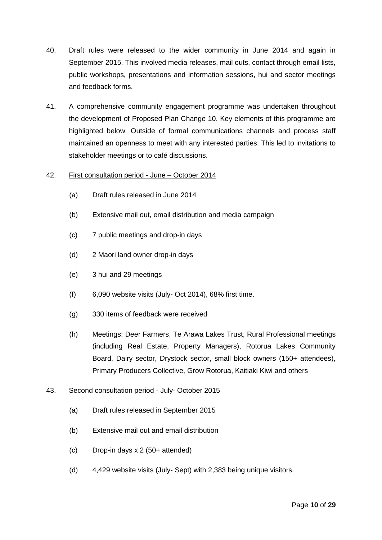- 40. Draft rules were released to the wider community in June 2014 and again in September 2015. This involved media releases, mail outs, contact through email lists, public workshops, presentations and information sessions, hui and sector meetings and feedback forms.
- 41. A comprehensive community engagement programme was undertaken throughout the development of Proposed Plan Change 10. Key elements of this programme are highlighted below. Outside of formal communications channels and process staff maintained an openness to meet with any interested parties. This led to invitations to stakeholder meetings or to café discussions.

#### 42. First consultation period - June – October 2014

- (a) Draft rules released in June 2014
- (b) Extensive mail out, email distribution and media campaign
- (c) 7 public meetings and drop-in days
- (d) 2 Maori land owner drop-in days
- (e) 3 hui and 29 meetings
- (f) 6,090 website visits (July- Oct 2014), 68% first time.
- (g) 330 items of feedback were received
- (h) Meetings: Deer Farmers, Te Arawa Lakes Trust, Rural Professional meetings (including Real Estate, Property Managers), Rotorua Lakes Community Board, Dairy sector, Drystock sector, small block owners (150+ attendees), Primary Producers Collective, Grow Rotorua, Kaitiaki Kiwi and others

#### 43. Second consultation period - July- October 2015

- (a) Draft rules released in September 2015
- (b) Extensive mail out and email distribution
- (c) Drop-in days x 2 (50+ attended)
- (d) 4,429 website visits (July- Sept) with 2,383 being unique visitors.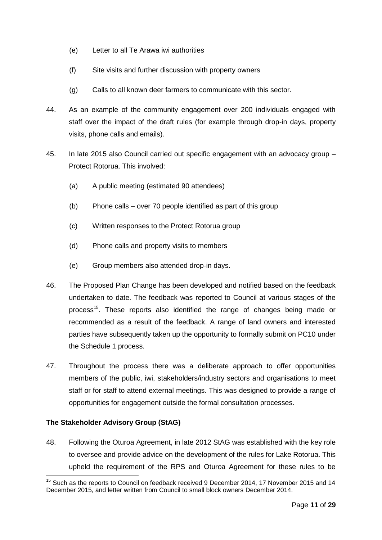- (e) Letter to all Te Arawa iwi authorities
- (f) Site visits and further discussion with property owners
- (g) Calls to all known deer farmers to communicate with this sector.
- 44. As an example of the community engagement over 200 individuals engaged with staff over the impact of the draft rules (for example through drop-in days, property visits, phone calls and emails).
- 45. In late 2015 also Council carried out specific engagement with an advocacy group Protect Rotorua. This involved:
	- (a) A public meeting (estimated 90 attendees)
	- (b) Phone calls over 70 people identified as part of this group
	- (c) Written responses to the Protect Rotorua group
	- (d) Phone calls and property visits to members
	- (e) Group members also attended drop-in days.
- 46. The Proposed Plan Change has been developed and notified based on the feedback undertaken to date. The feedback was reported to Council at various stages of the process<sup>15</sup>. These reports also identified the range of changes being made or recommended as a result of the feedback. A range of land owners and interested parties have subsequently taken up the opportunity to formally submit on PC10 under the Schedule 1 process.
- 47. Throughout the process there was a deliberate approach to offer opportunities members of the public, iwi, stakeholders/industry sectors and organisations to meet staff or for staff to attend external meetings. This was designed to provide a range of opportunities for engagement outside the formal consultation processes.

#### **The Stakeholder Advisory Group (StAG)**

-

48. Following the Oturoa Agreement, in late 2012 StAG was established with the key role to oversee and provide advice on the development of the rules for Lake Rotorua. This upheld the requirement of the RPS and Oturoa Agreement for these rules to be

<sup>&</sup>lt;sup>15</sup> Such as the reports to Council on feedback received 9 December 2014, 17 November 2015 and 14 December 2015, and letter written from Council to small block owners December 2014.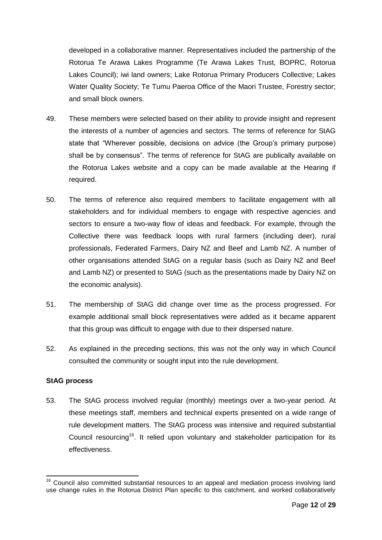developed in a collaborative manner. Representatives included the partnership of the Rotorua Te Arawa Lakes Programme (Te Arawa Lakes Trust, BOPRC, Rotorua Lakes Council); iwi land owners; Lake Rotorua Primary Producers Collective; Lakes Water Quality Society; Te Tumu Paeroa Office of the Maori Trustee, Forestry sector; and small block owners.

- 49. These members were selected based on their ability to provide insight and represent the interests of a number of agencies and sectors. The terms of reference for StAG state that "Wherever possible, decisions on advice (the Group's primary purpose) shall be by consensus". The terms of reference for StAG are publically available on the Rotorua Lakes website and a copy can be made available at the Hearing if required.
- 50. The terms of reference also required members to facilitate engagement with all stakeholders and for individual members to engage with respective agencies and sectors to ensure a two-way flow of ideas and feedback. For example, through the Collective there was feedback loops with rural farmers (including deer), rural professionals, Federated Farmers, Dairy NZ and Beef and Lamb NZ. A number of other organisations attended StAG on a regular basis (such as Dairy NZ and Beef and Lamb NZ) or presented to StAG (such as the presentations made by Dairy NZ on the economic analysis).
- 51. The membership of StAG did change over time as the process progressed. For example additional small block representatives were added as it became apparent that this group was difficult to engage with due to their dispersed nature.
- 52. As explained in the preceding sections, this was not the only way in which Council consulted the community or sought input into the rule development.

#### **StAG process**

53. The StAG process involved regular (monthly) meetings over a two-year period. At these meetings staff, members and technical experts presented on a wide range of rule development matters. The StAG process was intensive and required substantial Council resourcing<sup>16</sup>. It relied upon voluntary and stakeholder participation for its effectiveness.

<sup>-</sup> $16$  Council also committed substantial resources to an appeal and mediation process involving land use change rules in the Rotorua District Plan specific to this catchment, and worked collaboratively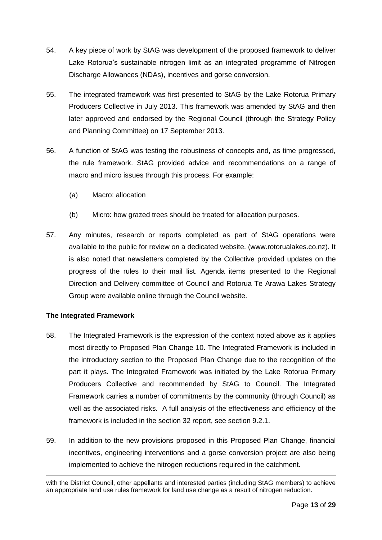- 54. A key piece of work by StAG was development of the proposed framework to deliver Lake Rotorua's sustainable nitrogen limit as an integrated programme of Nitrogen Discharge Allowances (NDAs), incentives and gorse conversion.
- 55. The integrated framework was first presented to StAG by the Lake Rotorua Primary Producers Collective in July 2013. This framework was amended by StAG and then later approved and endorsed by the Regional Council (through the Strategy Policy and Planning Committee) on 17 September 2013.
- 56. A function of StAG was testing the robustness of concepts and, as time progressed, the rule framework. StAG provided advice and recommendations on a range of macro and micro issues through this process. For example:
	- (a) Macro: allocation
	- (b) Micro: how grazed trees should be treated for allocation purposes.
- 57. Any minutes, research or reports completed as part of StAG operations were available to the public for review on a dedicated website. (www.rotorualakes.co.nz). It is also noted that newsletters completed by the Collective provided updates on the progress of the rules to their mail list. Agenda items presented to the Regional Direction and Delivery committee of Council and Rotorua Te Arawa Lakes Strategy Group were available online through the Council website.

#### **The Integrated Framework**

- 58. The Integrated Framework is the expression of the context noted above as it applies most directly to Proposed Plan Change 10. The Integrated Framework is included in the introductory section to the Proposed Plan Change due to the recognition of the part it plays. The Integrated Framework was initiated by the Lake Rotorua Primary Producers Collective and recommended by StAG to Council. The Integrated Framework carries a number of commitments by the community (through Council) as well as the associated risks. A full analysis of the effectiveness and efficiency of the framework is included in the section 32 report, see section 9.2.1.
- 59. In addition to the new provisions proposed in this Proposed Plan Change, financial incentives, engineering interventions and a gorse conversion project are also being implemented to achieve the nitrogen reductions required in the catchment.

with the District Council, other appellants and interested parties (including StAG members) to achieve an appropriate land use rules framework for land use change as a result of nitrogen reduction.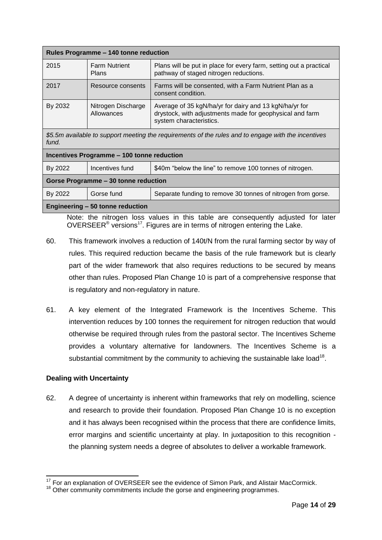| Rules Programme - 140 tonne reduction                                                                        |                                  |                                                                                                                                               |  |
|--------------------------------------------------------------------------------------------------------------|----------------------------------|-----------------------------------------------------------------------------------------------------------------------------------------------|--|
| 2015                                                                                                         | <b>Farm Nutrient</b><br>Plans    | Plans will be put in place for every farm, setting out a practical<br>pathway of staged nitrogen reductions.                                  |  |
| 2017                                                                                                         | Resource consents                | Farms will be consented, with a Farm Nutrient Plan as a<br>consent condition.                                                                 |  |
| By 2032                                                                                                      | Nitrogen Discharge<br>Allowances | Average of 35 kgN/ha/yr for dairy and 13 kgN/ha/yr for<br>drystock, with adjustments made for geophysical and farm<br>system characteristics. |  |
| \$5.5m available to support meeting the requirements of the rules and to engage with the incentives<br>fund. |                                  |                                                                                                                                               |  |
| $\mathbf{L}$                                                                                                 |                                  |                                                                                                                                               |  |

| Incentives Programme - 100 tonne reduction |                 |                                                              |  |
|--------------------------------------------|-----------------|--------------------------------------------------------------|--|
| By 2022                                    | Incentives fund | \$40m "below the line" to remove 100 tonnes of nitrogen.     |  |
| Gorse Programme - 30 tonne reduction       |                 |                                                              |  |
| By 2022                                    | Gorse fund      | Separate funding to remove 30 tonnes of nitrogen from gorse. |  |
| Engineering - 50 tonne reduction           |                 |                                                              |  |

Note: the nitrogen loss values in this table are consequently adjusted for later OVERSEER<sup>®</sup> versions<sup>17</sup>. Figures are in terms of nitrogen entering the Lake.

- 60. This framework involves a reduction of 140t/N from the rural farming sector by way of rules. This required reduction became the basis of the rule framework but is clearly part of the wider framework that also requires reductions to be secured by means other than rules. Proposed Plan Change 10 is part of a comprehensive response that is regulatory and non-regulatory in nature.
- 61. A key element of the Integrated Framework is the Incentives Scheme. This intervention reduces by 100 tonnes the requirement for nitrogen reduction that would otherwise be required through rules from the pastoral sector. The Incentives Scheme provides a voluntary alternative for landowners. The Incentives Scheme is a substantial commitment by the community to achieving the sustainable lake load<sup>18</sup>.

#### **Dealing with Uncertainty**

62. A degree of uncertainty is inherent within frameworks that rely on modelling, science and research to provide their foundation. Proposed Plan Change 10 is no exception and it has always been recognised within the process that there are confidence limits, error margins and scientific uncertainty at play. In juxtaposition to this recognition the planning system needs a degree of absolutes to deliver a workable framework.

<sup>-</sup><sup>17</sup> For an explanation of OVERSEER see the evidence of Simon Park, and Alistair MacCormick.

<sup>&</sup>lt;sup>18</sup> Other community commitments include the gorse and engineering programmes.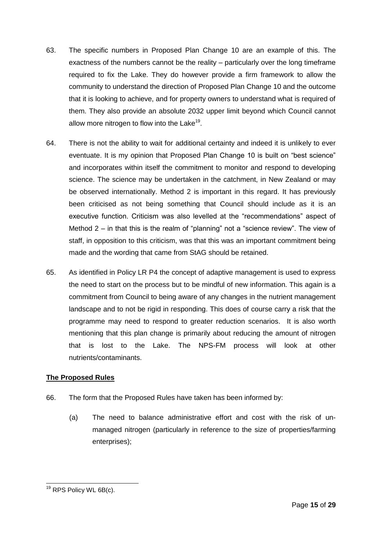- 63. The specific numbers in Proposed Plan Change 10 are an example of this. The exactness of the numbers cannot be the reality – particularly over the long timeframe required to fix the Lake. They do however provide a firm framework to allow the community to understand the direction of Proposed Plan Change 10 and the outcome that it is looking to achieve, and for property owners to understand what is required of them. They also provide an absolute 2032 upper limit beyond which Council cannot allow more nitrogen to flow into the Lake<sup>19</sup>.
- 64. There is not the ability to wait for additional certainty and indeed it is unlikely to ever eventuate. It is my opinion that Proposed Plan Change 10 is built on "best science" and incorporates within itself the commitment to monitor and respond to developing science. The science may be undertaken in the catchment, in New Zealand or may be observed internationally. Method 2 is important in this regard. It has previously been criticised as not being something that Council should include as it is an executive function. Criticism was also levelled at the "recommendations" aspect of Method 2 – in that this is the realm of "planning" not a "science review". The view of staff, in opposition to this criticism, was that this was an important commitment being made and the wording that came from StAG should be retained.
- 65. As identified in Policy LR P4 the concept of adaptive management is used to express the need to start on the process but to be mindful of new information. This again is a commitment from Council to being aware of any changes in the nutrient management landscape and to not be rigid in responding. This does of course carry a risk that the programme may need to respond to greater reduction scenarios. It is also worth mentioning that this plan change is primarily about reducing the amount of nitrogen that is lost to the Lake. The NPS-FM process will look at other nutrients/contaminants.

#### **The Proposed Rules**

- 66. The form that the Proposed Rules have taken has been informed by:
	- (a) The need to balance administrative effort and cost with the risk of unmanaged nitrogen (particularly in reference to the size of properties/farming enterprises);

<sup>-</sup><sup>19</sup> RPS Policy WL 6B(c).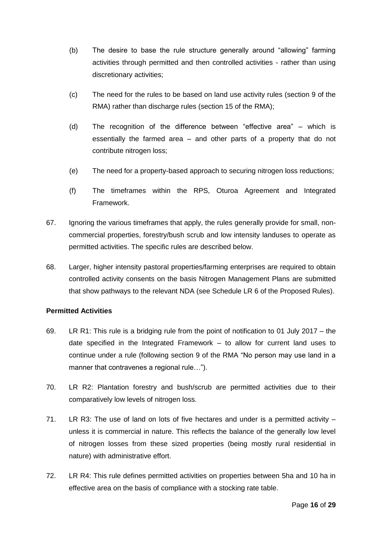- (b) The desire to base the rule structure generally around "allowing" farming activities through permitted and then controlled activities - rather than using discretionary activities;
- (c) The need for the rules to be based on land use activity rules (section 9 of the RMA) rather than discharge rules (section 15 of the RMA);
- (d) The recognition of the difference between "effective area" which is essentially the farmed area – and other parts of a property that do not contribute nitrogen loss;
- (e) The need for a property-based approach to securing nitrogen loss reductions;
- (f) The timeframes within the RPS, Oturoa Agreement and Integrated Framework.
- 67. Ignoring the various timeframes that apply, the rules generally provide for small, noncommercial properties, forestry/bush scrub and low intensity landuses to operate as permitted activities. The specific rules are described below.
- 68. Larger, higher intensity pastoral properties/farming enterprises are required to obtain controlled activity consents on the basis Nitrogen Management Plans are submitted that show pathways to the relevant NDA (see Schedule LR 6 of the Proposed Rules).

#### **Permitted Activities**

- 69. LR R1: This rule is a bridging rule from the point of notification to 01 July 2017 the date specified in the Integrated Framework – to allow for current land uses to continue under a rule (following section 9 of the RMA "No person may use land in a manner that contravenes a regional rule…").
- 70. LR R2: Plantation forestry and bush/scrub are permitted activities due to their comparatively low levels of nitrogen loss.
- 71. LR R3: The use of land on lots of five hectares and under is a permitted activity unless it is commercial in nature. This reflects the balance of the generally low level of nitrogen losses from these sized properties (being mostly rural residential in nature) with administrative effort.
- 72. LR R4: This rule defines permitted activities on properties between 5ha and 10 ha in effective area on the basis of compliance with a stocking rate table.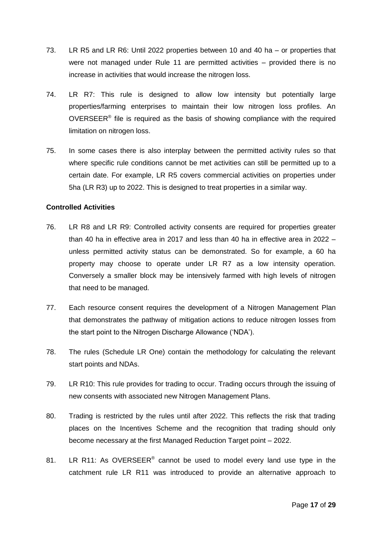- 73. LR R5 and LR R6: Until 2022 properties between 10 and 40 ha or properties that were not managed under Rule 11 are permitted activities – provided there is no increase in activities that would increase the nitrogen loss.
- 74. LR R7: This rule is designed to allow low intensity but potentially large properties/farming enterprises to maintain their low nitrogen loss profiles. An OVERSEER $<sup>®</sup>$  file is required as the basis of showing compliance with the required</sup> limitation on nitrogen loss.
- 75. In some cases there is also interplay between the permitted activity rules so that where specific rule conditions cannot be met activities can still be permitted up to a certain date. For example, LR R5 covers commercial activities on properties under 5ha (LR R3) up to 2022. This is designed to treat properties in a similar way.

#### **Controlled Activities**

- 76. LR R8 and LR R9: Controlled activity consents are required for properties greater than 40 ha in effective area in 2017 and less than 40 ha in effective area in 2022 – unless permitted activity status can be demonstrated. So for example, a 60 ha property may choose to operate under LR R7 as a low intensity operation. Conversely a smaller block may be intensively farmed with high levels of nitrogen that need to be managed.
- 77. Each resource consent requires the development of a Nitrogen Management Plan that demonstrates the pathway of mitigation actions to reduce nitrogen losses from the start point to the Nitrogen Discharge Allowance ('NDA').
- 78. The rules (Schedule LR One) contain the methodology for calculating the relevant start points and NDAs.
- 79. LR R10: This rule provides for trading to occur. Trading occurs through the issuing of new consents with associated new Nitrogen Management Plans.
- 80. Trading is restricted by the rules until after 2022. This reflects the risk that trading places on the Incentives Scheme and the recognition that trading should only become necessary at the first Managed Reduction Target point – 2022.
- 81. LR R11: As OVERSEER<sup>®</sup> cannot be used to model every land use type in the catchment rule LR R11 was introduced to provide an alternative approach to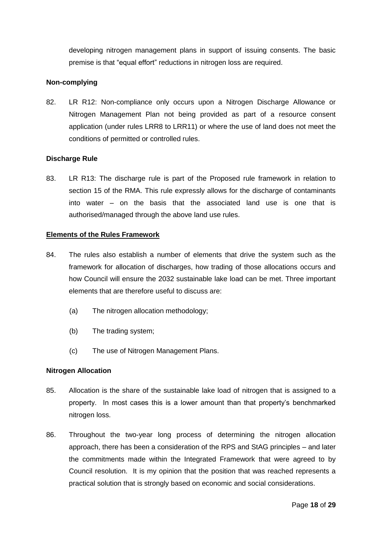developing nitrogen management plans in support of issuing consents. The basic premise is that "equal effort" reductions in nitrogen loss are required.

#### **Non-complying**

82. LR R12: Non-compliance only occurs upon a Nitrogen Discharge Allowance or Nitrogen Management Plan not being provided as part of a resource consent application (under rules LRR8 to LRR11) or where the use of land does not meet the conditions of permitted or controlled rules.

#### **Discharge Rule**

83. LR R13: The discharge rule is part of the Proposed rule framework in relation to section 15 of the RMA. This rule expressly allows for the discharge of contaminants into water – on the basis that the associated land use is one that is authorised/managed through the above land use rules.

#### **Elements of the Rules Framework**

- 84. The rules also establish a number of elements that drive the system such as the framework for allocation of discharges, how trading of those allocations occurs and how Council will ensure the 2032 sustainable lake load can be met. Three important elements that are therefore useful to discuss are:
	- (a) The nitrogen allocation methodology;
	- (b) The trading system;
	- (c) The use of Nitrogen Management Plans.

#### **Nitrogen Allocation**

- 85. Allocation is the share of the sustainable lake load of nitrogen that is assigned to a property. In most cases this is a lower amount than that property's benchmarked nitrogen loss.
- 86. Throughout the two-year long process of determining the nitrogen allocation approach, there has been a consideration of the RPS and StAG principles – and later the commitments made within the Integrated Framework that were agreed to by Council resolution. It is my opinion that the position that was reached represents a practical solution that is strongly based on economic and social considerations.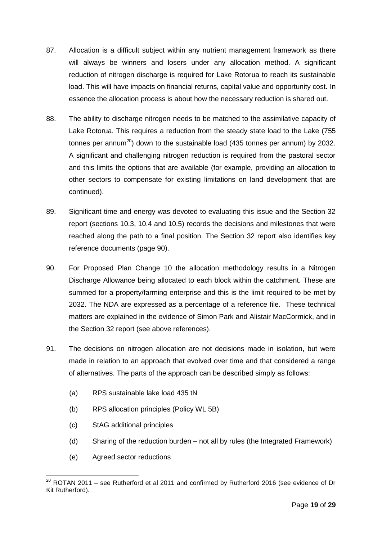- 87. Allocation is a difficult subject within any nutrient management framework as there will always be winners and losers under any allocation method. A significant reduction of nitrogen discharge is required for Lake Rotorua to reach its sustainable load. This will have impacts on financial returns, capital value and opportunity cost. In essence the allocation process is about how the necessary reduction is shared out.
- 88. The ability to discharge nitrogen needs to be matched to the assimilative capacity of Lake Rotorua. This requires a reduction from the steady state load to the Lake (755 tonnes per annum<sup>20</sup>) down to the sustainable load (435 tonnes per annum) by 2032. A significant and challenging nitrogen reduction is required from the pastoral sector and this limits the options that are available (for example, providing an allocation to other sectors to compensate for existing limitations on land development that are continued).
- 89. Significant time and energy was devoted to evaluating this issue and the Section 32 report (sections 10.3, 10.4 and 10.5) records the decisions and milestones that were reached along the path to a final position. The Section 32 report also identifies key reference documents (page 90).
- 90. For Proposed Plan Change 10 the allocation methodology results in a Nitrogen Discharge Allowance being allocated to each block within the catchment. These are summed for a property/farming enterprise and this is the limit required to be met by 2032. The NDA are expressed as a percentage of a reference file. These technical matters are explained in the evidence of Simon Park and Alistair MacCormick, and in the Section 32 report (see above references).
- 91. The decisions on nitrogen allocation are not decisions made in isolation, but were made in relation to an approach that evolved over time and that considered a range of alternatives. The parts of the approach can be described simply as follows:
	- (a) RPS sustainable lake load 435 tN
	- (b) RPS allocation principles (Policy WL 5B)
	- (c) StAG additional principles
	- (d) Sharing of the reduction burden not all by rules (the Integrated Framework)
	- (e) Agreed sector reductions

<sup>-</sup> $^{20}$  ROTAN 2011 – see Rutherford et al 2011 and confirmed by Rutherford 2016 (see evidence of Dr Kit Rutherford).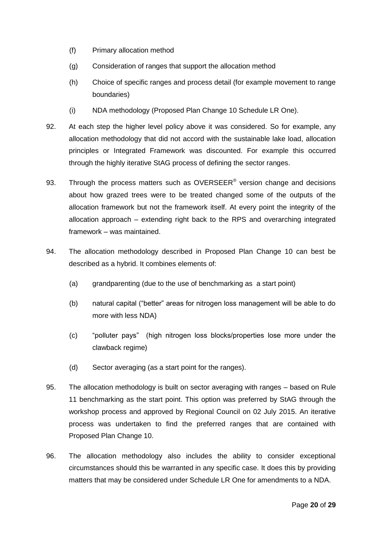- (f) Primary allocation method
- (g) Consideration of ranges that support the allocation method
- (h) Choice of specific ranges and process detail (for example movement to range boundaries)
- (i) NDA methodology (Proposed Plan Change 10 Schedule LR One).
- 92. At each step the higher level policy above it was considered. So for example, any allocation methodology that did not accord with the sustainable lake load, allocation principles or Integrated Framework was discounted. For example this occurred through the highly iterative StAG process of defining the sector ranges.
- 93. Through the process matters such as OVERSEER<sup>®</sup> version change and decisions about how grazed trees were to be treated changed some of the outputs of the allocation framework but not the framework itself. At every point the integrity of the allocation approach – extending right back to the RPS and overarching integrated framework – was maintained.
- 94. The allocation methodology described in Proposed Plan Change 10 can best be described as a hybrid. It combines elements of:
	- (a) grandparenting (due to the use of benchmarking as a start point)
	- (b) natural capital ("better" areas for nitrogen loss management will be able to do more with less NDA)
	- (c) "polluter pays" (high nitrogen loss blocks/properties lose more under the clawback regime)
	- (d) Sector averaging (as a start point for the ranges).
- 95. The allocation methodology is built on sector averaging with ranges based on Rule 11 benchmarking as the start point. This option was preferred by StAG through the workshop process and approved by Regional Council on 02 July 2015. An iterative process was undertaken to find the preferred ranges that are contained with Proposed Plan Change 10.
- 96. The allocation methodology also includes the ability to consider exceptional circumstances should this be warranted in any specific case. It does this by providing matters that may be considered under Schedule LR One for amendments to a NDA.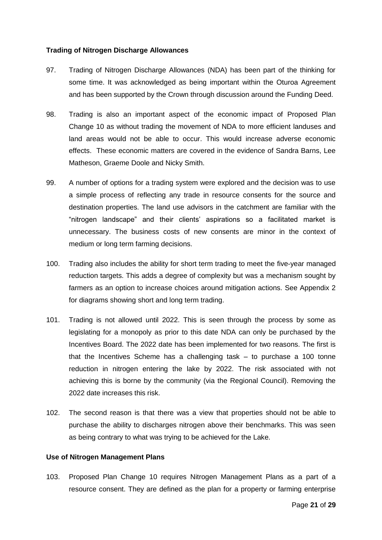#### **Trading of Nitrogen Discharge Allowances**

- 97. Trading of Nitrogen Discharge Allowances (NDA) has been part of the thinking for some time. It was acknowledged as being important within the Oturoa Agreement and has been supported by the Crown through discussion around the Funding Deed.
- 98. Trading is also an important aspect of the economic impact of Proposed Plan Change 10 as without trading the movement of NDA to more efficient landuses and land areas would not be able to occur. This would increase adverse economic effects. These economic matters are covered in the evidence of Sandra Barns, Lee Matheson, Graeme Doole and Nicky Smith.
- 99. A number of options for a trading system were explored and the decision was to use a simple process of reflecting any trade in resource consents for the source and destination properties. The land use advisors in the catchment are familiar with the "nitrogen landscape" and their clients' aspirations so a facilitated market is unnecessary. The business costs of new consents are minor in the context of medium or long term farming decisions.
- 100. Trading also includes the ability for short term trading to meet the five-year managed reduction targets. This adds a degree of complexity but was a mechanism sought by farmers as an option to increase choices around mitigation actions. See Appendix 2 for diagrams showing short and long term trading.
- 101. Trading is not allowed until 2022. This is seen through the process by some as legislating for a monopoly as prior to this date NDA can only be purchased by the Incentives Board. The 2022 date has been implemented for two reasons. The first is that the Incentives Scheme has a challenging task – to purchase a 100 tonne reduction in nitrogen entering the lake by 2022. The risk associated with not achieving this is borne by the community (via the Regional Council). Removing the 2022 date increases this risk.
- 102. The second reason is that there was a view that properties should not be able to purchase the ability to discharges nitrogen above their benchmarks. This was seen as being contrary to what was trying to be achieved for the Lake.

#### **Use of Nitrogen Management Plans**

103. Proposed Plan Change 10 requires Nitrogen Management Plans as a part of a resource consent. They are defined as the plan for a property or farming enterprise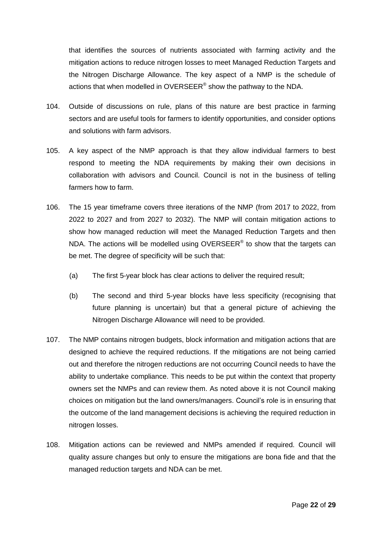that identifies the sources of nutrients associated with farming activity and the mitigation actions to reduce nitrogen losses to meet Managed Reduction Targets and the Nitrogen Discharge Allowance. The key aspect of a NMP is the schedule of actions that when modelled in OVERSEER® show the pathway to the NDA.

- 104. Outside of discussions on rule, plans of this nature are best practice in farming sectors and are useful tools for farmers to identify opportunities, and consider options and solutions with farm advisors.
- 105. A key aspect of the NMP approach is that they allow individual farmers to best respond to meeting the NDA requirements by making their own decisions in collaboration with advisors and Council. Council is not in the business of telling farmers how to farm.
- 106. The 15 year timeframe covers three iterations of the NMP (from 2017 to 2022, from 2022 to 2027 and from 2027 to 2032). The NMP will contain mitigation actions to show how managed reduction will meet the Managed Reduction Targets and then NDA. The actions will be modelled using OVERSEER® to show that the targets can be met. The degree of specificity will be such that:
	- (a) The first 5-year block has clear actions to deliver the required result;
	- (b) The second and third 5-year blocks have less specificity (recognising that future planning is uncertain) but that a general picture of achieving the Nitrogen Discharge Allowance will need to be provided.
- 107. The NMP contains nitrogen budgets, block information and mitigation actions that are designed to achieve the required reductions. If the mitigations are not being carried out and therefore the nitrogen reductions are not occurring Council needs to have the ability to undertake compliance. This needs to be put within the context that property owners set the NMPs and can review them. As noted above it is not Council making choices on mitigation but the land owners/managers. Council's role is in ensuring that the outcome of the land management decisions is achieving the required reduction in nitrogen losses.
- 108. Mitigation actions can be reviewed and NMPs amended if required. Council will quality assure changes but only to ensure the mitigations are bona fide and that the managed reduction targets and NDA can be met.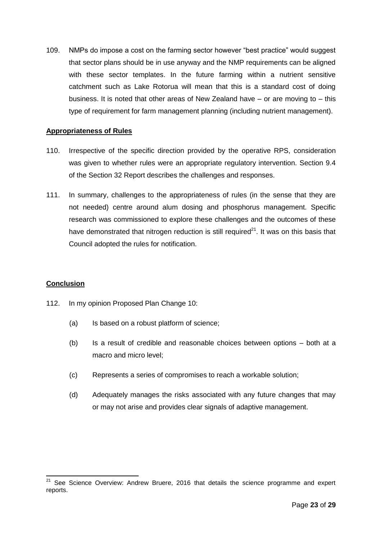109. NMPs do impose a cost on the farming sector however "best practice" would suggest that sector plans should be in use anyway and the NMP requirements can be aligned with these sector templates. In the future farming within a nutrient sensitive catchment such as Lake Rotorua will mean that this is a standard cost of doing business. It is noted that other areas of New Zealand have  $-$  or are moving to  $-$  this type of requirement for farm management planning (including nutrient management).

#### **Appropriateness of Rules**

- 110. Irrespective of the specific direction provided by the operative RPS, consideration was given to whether rules were an appropriate regulatory intervention. Section 9.4 of the Section 32 Report describes the challenges and responses.
- 111. In summary, challenges to the appropriateness of rules (in the sense that they are not needed) centre around alum dosing and phosphorus management. Specific research was commissioned to explore these challenges and the outcomes of these have demonstrated that nitrogen reduction is still required $21$ . It was on this basis that Council adopted the rules for notification.

#### **Conclusion**

-

- 112. In my opinion Proposed Plan Change 10:
	- (a) Is based on a robust platform of science;
	- (b) Is a result of credible and reasonable choices between options both at a macro and micro level;
	- (c) Represents a series of compromises to reach a workable solution;
	- (d) Adequately manages the risks associated with any future changes that may or may not arise and provides clear signals of adaptive management.

 $21$  See Science Overview: Andrew Bruere, 2016 that details the science programme and expert reports.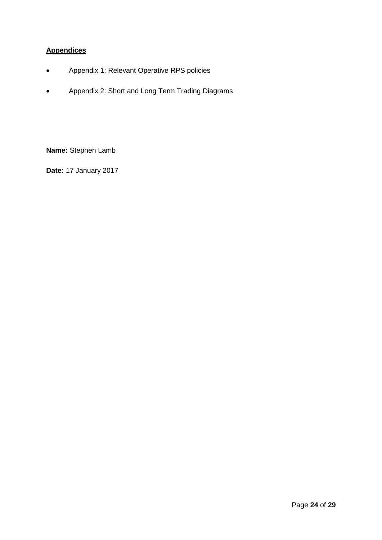## **Appendices**

- Appendix 1: Relevant Operative RPS policies
- Appendix 2: Short and Long Term Trading Diagrams

**Name:** Stephen Lamb

**Date:** 17 January 2017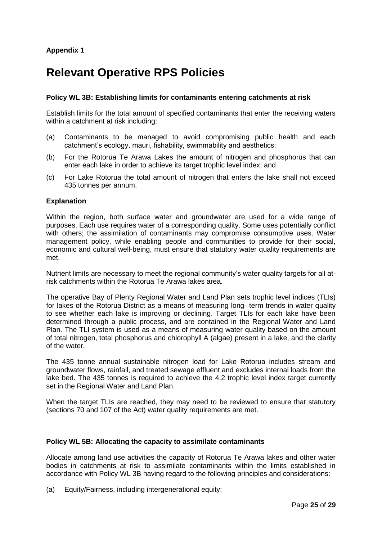# **Relevant Operative RPS Policies**

#### **Policy WL 3B: Establishing limits for contaminants entering catchments at risk**

Establish limits for the total amount of specified contaminants that enter the receiving waters within a catchment at risk including:

- (a) Contaminants to be managed to avoid compromising public health and each catchment's ecology, mauri, fishability, swimmability and aesthetics;
- (b) For the Rotorua Te Arawa Lakes the amount of nitrogen and phosphorus that can enter each lake in order to achieve its target trophic level index; and
- (c) For Lake Rotorua the total amount of nitrogen that enters the lake shall not exceed 435 tonnes per annum.

#### **Explanation**

Within the region, both surface water and groundwater are used for a wide range of purposes. Each use requires water of a corresponding quality. Some uses potentially conflict with others; the assimilation of contaminants may compromise consumptive uses. Water management policy, while enabling people and communities to provide for their social, economic and cultural well-being, must ensure that statutory water quality requirements are met.

Nutrient limits are necessary to meet the regional community's water quality targets for all atrisk catchments within the Rotorua Te Arawa lakes area.

The operative Bay of Plenty Regional Water and Land Plan sets trophic level indices (TLIs) for lakes of the Rotorua District as a means of measuring long- term trends in water quality to see whether each lake is improving or declining. Target TLIs for each lake have been determined through a public process, and are contained in the Regional Water and Land Plan. The TLI system is used as a means of measuring water quality based on the amount of total nitrogen, total phosphorus and chlorophyll A (algae) present in a lake, and the clarity of the water.

The 435 tonne annual sustainable nitrogen load for Lake Rotorua includes stream and groundwater flows, rainfall, and treated sewage effluent and excludes internal loads from the lake bed. The 435 tonnes is required to achieve the 4.2 trophic level index target currently set in the Regional Water and Land Plan.

When the target TLIs are reached, they may need to be reviewed to ensure that statutory (sections 70 and 107 of the Act) water quality requirements are met.

#### **Policy WL 5B: Allocating the capacity to assimilate contaminants**

Allocate among land use activities the capacity of Rotorua Te Arawa lakes and other water bodies in catchments at risk to assimilate contaminants within the limits established in accordance with Policy WL 3B having regard to the following principles and considerations:

(a) Equity/Fairness, including intergenerational equity;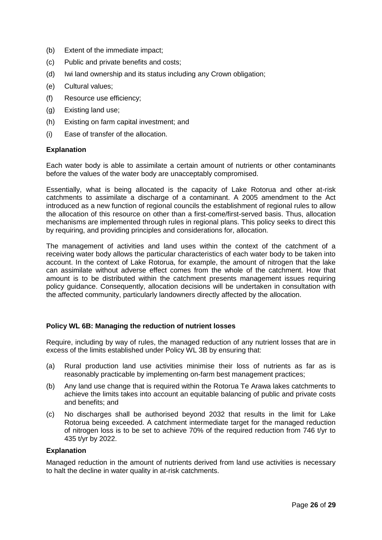- (b) Extent of the immediate impact;
- (c) Public and private benefits and costs;
- (d) Iwi land ownership and its status including any Crown obligation;
- (e) Cultural values;
- (f) Resource use efficiency;
- (g) Existing land use;
- (h) Existing on farm capital investment; and
- (i) Ease of transfer of the allocation.

#### **Explanation**

Each water body is able to assimilate a certain amount of nutrients or other contaminants before the values of the water body are unacceptably compromised.

Essentially, what is being allocated is the capacity of Lake Rotorua and other at-risk catchments to assimilate a discharge of a contaminant. A 2005 amendment to the Act introduced as a new function of regional councils the establishment of regional rules to allow the allocation of this resource on other than a first-come/first-served basis. Thus, allocation mechanisms are implemented through rules in regional plans. This policy seeks to direct this by requiring, and providing principles and considerations for, allocation.

The management of activities and land uses within the context of the catchment of a receiving water body allows the particular characteristics of each water body to be taken into account. In the context of Lake Rotorua, for example, the amount of nitrogen that the lake can assimilate without adverse effect comes from the whole of the catchment. How that amount is to be distributed within the catchment presents management issues requiring policy guidance. Consequently, allocation decisions will be undertaken in consultation with the affected community, particularly landowners directly affected by the allocation.

#### **Policy WL 6B: Managing the reduction of nutrient losses**

Require, including by way of rules, the managed reduction of any nutrient losses that are in excess of the limits established under Policy WL 3B by ensuring that:

- (a) Rural production land use activities minimise their loss of nutrients as far as is reasonably practicable by implementing on-farm best management practices;
- (b) Any land use change that is required within the Rotorua Te Arawa lakes catchments to achieve the limits takes into account an equitable balancing of public and private costs and benefits; and
- (c) No discharges shall be authorised beyond 2032 that results in the limit for Lake Rotorua being exceeded. A catchment intermediate target for the managed reduction of nitrogen loss is to be set to achieve 70% of the required reduction from 746 t/yr to 435 t/yr by 2022.

#### **Explanation**

Managed reduction in the amount of nutrients derived from land use activities is necessary to halt the decline in water quality in at-risk catchments.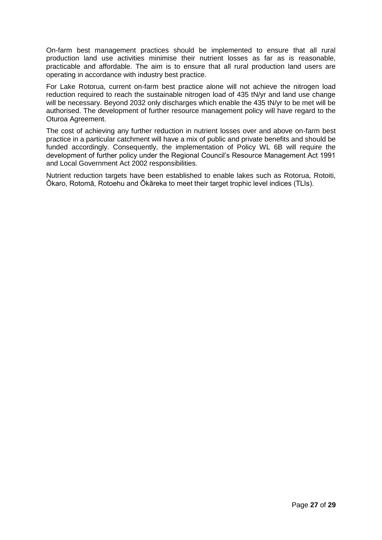On-farm best management practices should be implemented to ensure that all rural production land use activities minimise their nutrient losses as far as is reasonable, practicable and affordable. The aim is to ensure that all rural production land users are operating in accordance with industry best practice.

For Lake Rotorua, current on-farm best practice alone will not achieve the nitrogen load reduction required to reach the sustainable nitrogen load of 435 tN/yr and land use change will be necessary. Beyond 2032 only discharges which enable the 435 tN/yr to be met will be authorised. The development of further resource management policy will have regard to the Oturoa Agreement.

The cost of achieving any further reduction in nutrient losses over and above on-farm best practice in a particular catchment will have a mix of public and private benefits and should be funded accordingly. Consequently, the implementation of Policy WL 6B will require the development of further policy under the Regional Council's Resource Management Act 1991 and Local Government Act 2002 responsibilities.

Nutrient reduction targets have been established to enable lakes such as Rotorua, Rotoiti, Ōkaro, Rotomā, Rotoehu and Ōkāreka to meet their target trophic level indices (TLIs).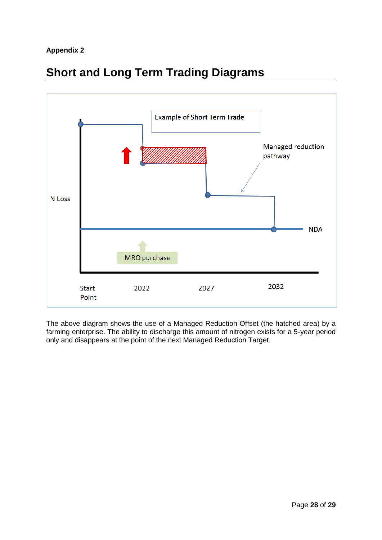### **Appendix 2**





The above diagram shows the use of a Managed Reduction Offset (the hatched area) by a farming enterprise. The ability to discharge this amount of nitrogen exists for a 5-year period only and disappears at the point of the next Managed Reduction Target.